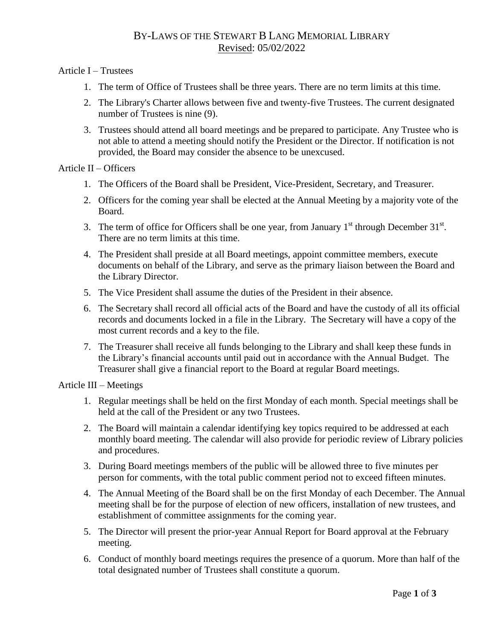# BY-LAWS OF THE STEWART B LANG MEMORIAL LIBRARY Revised: 05/02/2022

## Article I – Trustees

- 1. The term of Office of Trustees shall be three years. There are no term limits at this time.
- 2. The Library's Charter allows between five and twenty-five Trustees. The current designated number of Trustees is nine (9).
- 3. Trustees should attend all board meetings and be prepared to participate. Any Trustee who is not able to attend a meeting should notify the President or the Director. If notification is not provided, the Board may consider the absence to be unexcused.

## Article II – Officers

- 1. The Officers of the Board shall be President, Vice-President, Secretary, and Treasurer.
- 2. Officers for the coming year shall be elected at the Annual Meeting by a majority vote of the Board.
- 3. The term of office for Officers shall be one year, from January  $1<sup>st</sup>$  through December 31 $<sup>st</sup>$ .</sup> There are no term limits at this time.
- 4. The President shall preside at all Board meetings, appoint committee members, execute documents on behalf of the Library, and serve as the primary liaison between the Board and the Library Director.
- 5. The Vice President shall assume the duties of the President in their absence.
- 6. The Secretary shall record all official acts of the Board and have the custody of all its official records and documents locked in a file in the Library. The Secretary will have a copy of the most current records and a key to the file.
- 7. The Treasurer shall receive all funds belonging to the Library and shall keep these funds in the Library's financial accounts until paid out in accordance with the Annual Budget. The Treasurer shall give a financial report to the Board at regular Board meetings.

#### Article III – Meetings

- 1. Regular meetings shall be held on the first Monday of each month. Special meetings shall be held at the call of the President or any two Trustees.
- 2. The Board will maintain a calendar identifying key topics required to be addressed at each monthly board meeting. The calendar will also provide for periodic review of Library policies and procedures.
- 3. During Board meetings members of the public will be allowed three to five minutes per person for comments, with the total public comment period not to exceed fifteen minutes.
- 4. The Annual Meeting of the Board shall be on the first Monday of each December. The Annual meeting shall be for the purpose of election of new officers, installation of new trustees, and establishment of committee assignments for the coming year.
- 5. The Director will present the prior-year Annual Report for Board approval at the February meeting.
- 6. Conduct of monthly board meetings requires the presence of a quorum. More than half of the total designated number of Trustees shall constitute a quorum.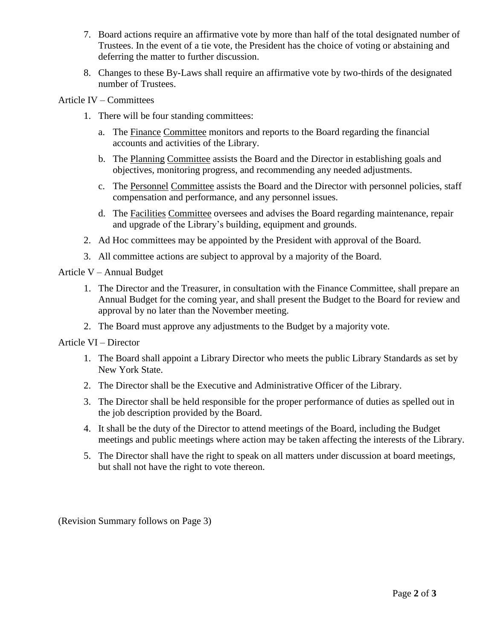- 7. Board actions require an affirmative vote by more than half of the total designated number of Trustees. In the event of a tie vote, the President has the choice of voting or abstaining and deferring the matter to further discussion.
- 8. Changes to these By-Laws shall require an affirmative vote by two-thirds of the designated number of Trustees.

## Article IV – Committees

- 1. There will be four standing committees:
	- a. The Finance Committee monitors and reports to the Board regarding the financial accounts and activities of the Library.
	- b. The Planning Committee assists the Board and the Director in establishing goals and objectives, monitoring progress, and recommending any needed adjustments.
	- c. The Personnel Committee assists the Board and the Director with personnel policies, staff compensation and performance, and any personnel issues.
	- d. The Facilities Committee oversees and advises the Board regarding maintenance, repair and upgrade of the Library's building, equipment and grounds.
- 2. Ad Hoc committees may be appointed by the President with approval of the Board.
- 3. All committee actions are subject to approval by a majority of the Board.

#### Article V – Annual Budget

- 1. The Director and the Treasurer, in consultation with the Finance Committee, shall prepare an Annual Budget for the coming year, and shall present the Budget to the Board for review and approval by no later than the November meeting.
- 2. The Board must approve any adjustments to the Budget by a majority vote.

#### Article VI – Director

- 1. The Board shall appoint a Library Director who meets the public Library Standards as set by New York State.
- 2. The Director shall be the Executive and Administrative Officer of the Library.
- 3. The Director shall be held responsible for the proper performance of duties as spelled out in the job description provided by the Board.
- 4. It shall be the duty of the Director to attend meetings of the Board, including the Budget meetings and public meetings where action may be taken affecting the interests of the Library.
- 5. The Director shall have the right to speak on all matters under discussion at board meetings, but shall not have the right to vote thereon.

(Revision Summary follows on Page 3)